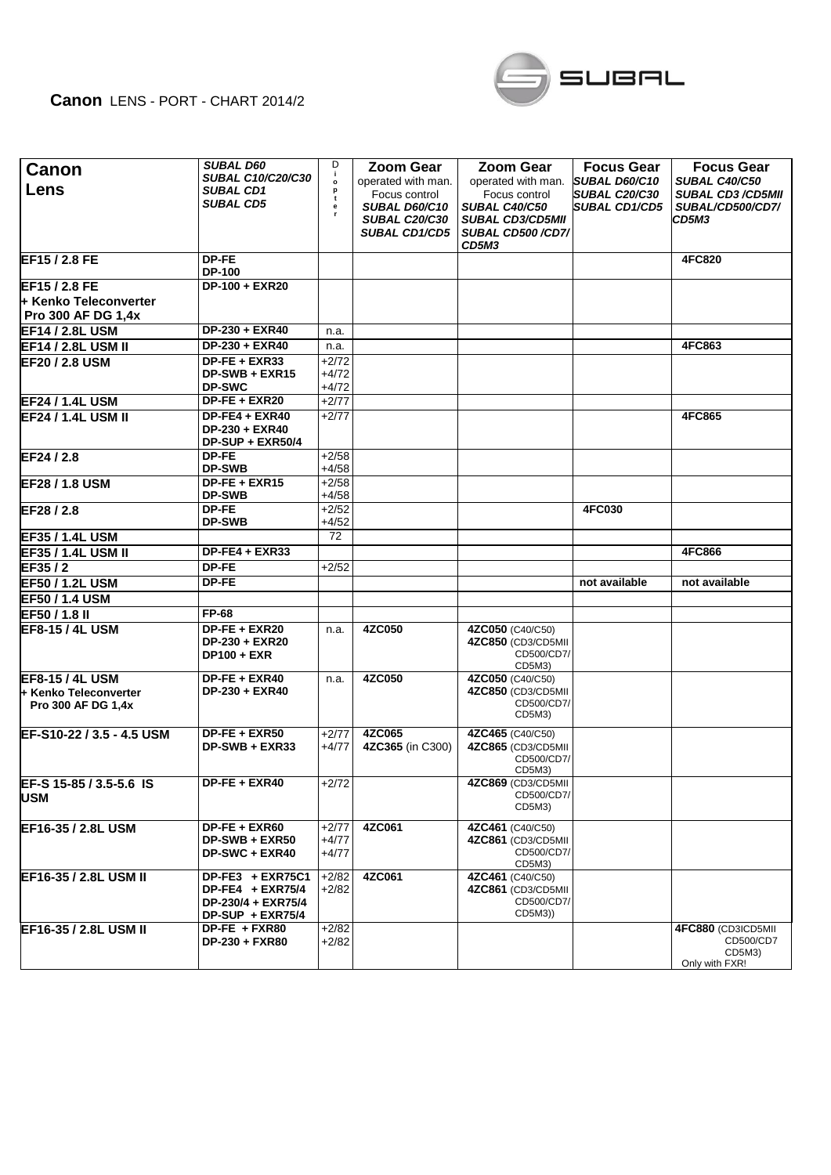## **Canon** LENS - PORT - CHART 2014/2



| Canon<br>Lens                                                         | <b>SUBAL D60</b><br><b>SUBAL C10/C20/C30</b><br><b>SUBAL CD1</b><br><b>SUBAL CD5</b> | D<br>j.<br>$\mathbf{o}$<br>p<br>t<br>е | <b>Zoom Gear</b><br>operated with man.<br>Focus control<br>SUBAL D60/C10<br><b>SUBAL C20/C30</b><br><b>SUBAL CD1/CD5</b> | <b>Zoom Gear</b><br>operated with man.<br>Focus control<br><b>SUBAL C40/C50</b><br><b>SUBAL CD3/CD5MII</b><br><b>SUBAL CD500/CD7/</b><br>CD5M3 | <b>Focus Gear</b><br><b>SUBAL D60/C10</b><br><b>SUBAL C20/C30</b><br><b>SUBAL CD1/CD5</b> | <b>Focus Gear</b><br><b>SUBAL C40/C50</b><br><b>SUBAL CD3/CD5MII</b><br>SUBAL/CD500/CD7/<br>CD5M3 |
|-----------------------------------------------------------------------|--------------------------------------------------------------------------------------|----------------------------------------|--------------------------------------------------------------------------------------------------------------------------|------------------------------------------------------------------------------------------------------------------------------------------------|-------------------------------------------------------------------------------------------|---------------------------------------------------------------------------------------------------|
| EF15 / 2.8 FE                                                         | DP-FE<br>DP-100                                                                      |                                        |                                                                                                                          |                                                                                                                                                |                                                                                           | <b>4FC820</b>                                                                                     |
| EF15 / 2.8 FE                                                         | DP-100 + EXR20                                                                       |                                        |                                                                                                                          |                                                                                                                                                |                                                                                           |                                                                                                   |
| + Kenko Teleconverter                                                 |                                                                                      |                                        |                                                                                                                          |                                                                                                                                                |                                                                                           |                                                                                                   |
| <b>Pro 300 AF DG 1,4x</b>                                             |                                                                                      |                                        |                                                                                                                          |                                                                                                                                                |                                                                                           |                                                                                                   |
| <b>EF14 / 2.8L USM</b>                                                | DP-230 + EXR40                                                                       | n.a.                                   |                                                                                                                          |                                                                                                                                                |                                                                                           |                                                                                                   |
| <b>EF14 / 2.8L USM II</b>                                             | DP-230 + EXR40                                                                       | n.a.                                   |                                                                                                                          |                                                                                                                                                |                                                                                           | 4FC863                                                                                            |
| <b>EF20 / 2.8 USM</b>                                                 | $DP-FE + EXR33$                                                                      | $+2/72$                                |                                                                                                                          |                                                                                                                                                |                                                                                           |                                                                                                   |
|                                                                       | $DP-SWB + EXR15$<br><b>DP-SWC</b>                                                    | $+4/72$<br>$+4/72$                     |                                                                                                                          |                                                                                                                                                |                                                                                           |                                                                                                   |
| <b>EF24 / 1.4L USM</b>                                                | DP-FE + EXR20                                                                        | $+2/77$                                |                                                                                                                          |                                                                                                                                                |                                                                                           |                                                                                                   |
| <b>EF24 / 1.4L USM II</b>                                             | $DP-FE4 + EXR40$                                                                     | $+2/77$                                |                                                                                                                          |                                                                                                                                                |                                                                                           | 4FC865                                                                                            |
|                                                                       | DP-230 + EXR40<br>DP-SUP + EXR50/4                                                   |                                        |                                                                                                                          |                                                                                                                                                |                                                                                           |                                                                                                   |
| EF24 / 2.8                                                            | <b>DP-FE</b>                                                                         | $+2/58$                                |                                                                                                                          |                                                                                                                                                |                                                                                           |                                                                                                   |
|                                                                       | <b>DP-SWB</b>                                                                        | $+4/58$                                |                                                                                                                          |                                                                                                                                                |                                                                                           |                                                                                                   |
| <b>EF28 / 1.8 USM</b>                                                 | DP-FE + EXR15                                                                        | $+2/58$<br>$+4/58$                     |                                                                                                                          |                                                                                                                                                |                                                                                           |                                                                                                   |
| EF28 / 2.8                                                            | <b>DP-SWB</b><br><b>DP-FE</b>                                                        | $+2/52$                                |                                                                                                                          |                                                                                                                                                | <b>4FC030</b>                                                                             |                                                                                                   |
|                                                                       | <b>DP-SWB</b>                                                                        | $+4/52$                                |                                                                                                                          |                                                                                                                                                |                                                                                           |                                                                                                   |
| <b>EF35 / 1.4L USM</b>                                                |                                                                                      | 72                                     |                                                                                                                          |                                                                                                                                                |                                                                                           |                                                                                                   |
| <b>EF35 / 1.4L USM II</b>                                             | $DP-FE4 + EXR33$                                                                     |                                        |                                                                                                                          |                                                                                                                                                |                                                                                           | 4FC866                                                                                            |
| EF35/2                                                                | DP-FE                                                                                | $+2/52$                                |                                                                                                                          |                                                                                                                                                |                                                                                           |                                                                                                   |
| <b>EF50 / 1.2L USM</b>                                                | DP-FE                                                                                |                                        |                                                                                                                          |                                                                                                                                                | not available                                                                             | not available                                                                                     |
| <b>EF50 / 1.4 USM</b>                                                 |                                                                                      |                                        |                                                                                                                          |                                                                                                                                                |                                                                                           |                                                                                                   |
| EF50 / 1.8 II                                                         | <b>FP-68</b>                                                                         |                                        |                                                                                                                          |                                                                                                                                                |                                                                                           |                                                                                                   |
| <b>IEF8-15 / 4L USM</b>                                               | DP-FE + EXR20<br>DP-230 + EXR20<br><b>DP100 + EXR</b>                                | n.a.                                   | 4ZC050                                                                                                                   | 4ZC050 (C40/C50)<br>4ZC850 (CD3/CD5MII<br>CD500/CD7/<br>CD5M3)                                                                                 |                                                                                           |                                                                                                   |
| <b>EF8-15 / 4L USM</b><br>+ Kenko Teleconverter<br>Pro 300 AF DG 1,4x | DP-FE + EXR40<br>DP-230 + EXR40                                                      | n.a.                                   | 4ZC050                                                                                                                   | 4ZC050 (C40/C50)<br>4ZC850 (CD3/CD5MII<br>CD500/CD7/<br>CD5M3)                                                                                 |                                                                                           |                                                                                                   |
| EF-S10-22 / 3.5 - 4.5 USM                                             | DP-FE + EXR50<br>DP-SWB + EXR33                                                      | $+2/77$<br>$+4/77$                     | 4ZC065<br>4ZC365 (in C300)                                                                                               | 4ZC465 (C40/C50)<br>4ZC865 (CD3/CD5MII<br>CD500/CD7/<br>CD5M3)                                                                                 |                                                                                           |                                                                                                   |
| EF-S 15-85 / 3.5-5.6 IS<br><b>USM</b>                                 | $DP-FE + EXR40$                                                                      | +2/72                                  |                                                                                                                          | 4ZC869 (CD3/CD5MII<br>CD500/CD7/<br>CD5M3)                                                                                                     |                                                                                           |                                                                                                   |
| EF16-35 / 2.8L USM                                                    | DP-FE + EXR60<br>DP-SWB + EXR50<br>DP-SWC + EXR40                                    | $+2/77$<br>+4/77<br>+4/77              | 4ZC061                                                                                                                   | 4ZC461 (C40/C50)<br>4ZC861 (CD3/CD5MII<br>CD500/CD7/<br>CD5M3)                                                                                 |                                                                                           |                                                                                                   |
| EF16-35 / 2.8L USM II                                                 | DP-FE3 + EXR75C1<br>$DP-FE4 + EXR75/4$<br>DP-230/4 + EXR75/4<br>DP-SUP + EXR75/4     | $+2/82$<br>$+2/82$                     | 4ZC061                                                                                                                   | 4ZC461 (C40/C50)<br>4ZC861 (CD3/CD5MII<br>CD500/CD7/<br>CD5M3))                                                                                |                                                                                           |                                                                                                   |
| EF16-35 / 2.8L USM II                                                 | DP-FE + FXR80<br>DP-230 + FXR80                                                      | $+2/82$<br>$+2/82$                     |                                                                                                                          |                                                                                                                                                |                                                                                           | 4FC880 (CD3ICD5MII<br>CD500/CD7<br>CD5M3)<br>Only with FXR!                                       |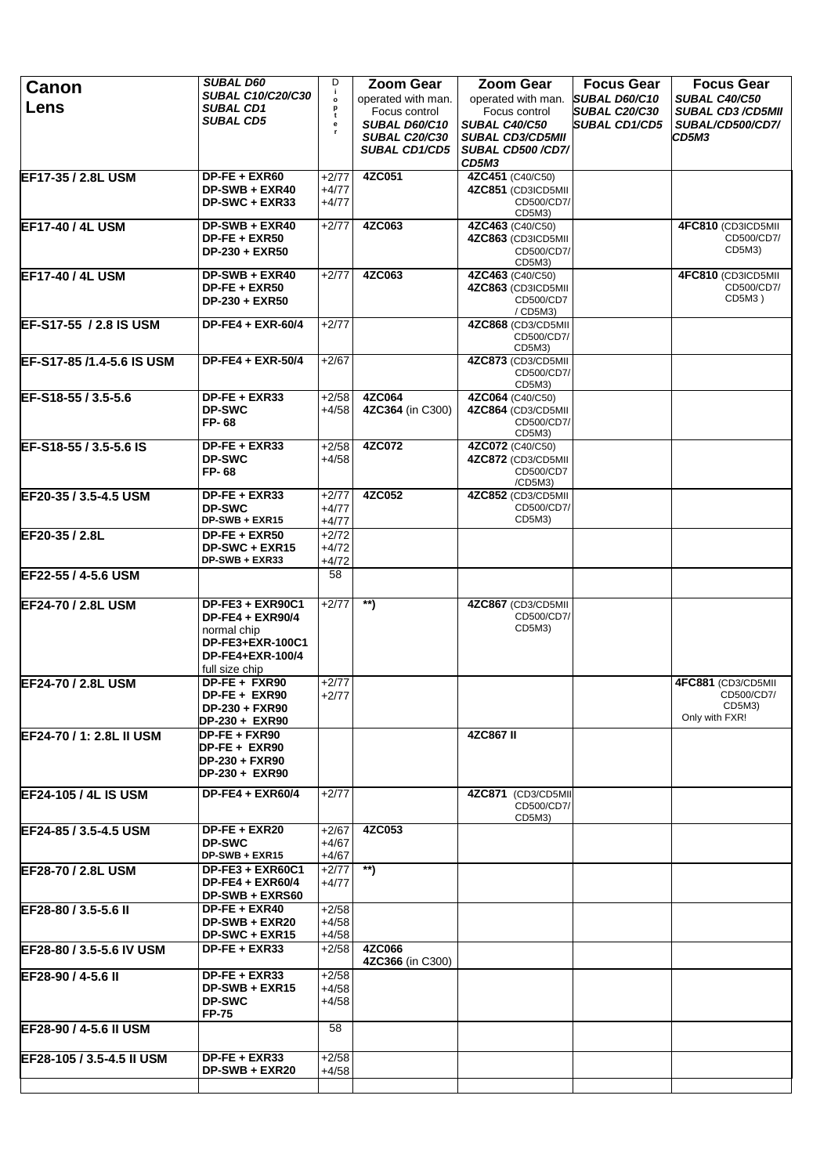| Canon                       | <b>SUBAL D60</b>                             | D                       | <b>Zoom Gear</b>                    | <b>Zoom Gear</b>                       | <b>Focus Gear</b>                            | <b>Focus Gear</b>                           |
|-----------------------------|----------------------------------------------|-------------------------|-------------------------------------|----------------------------------------|----------------------------------------------|---------------------------------------------|
| Lens                        | <b>SUBAL C10/C20/C30</b><br><b>SUBAL CD1</b> | j.<br>$\mathbf{o}$<br>p | operated with man.                  | operated with man.                     | <b>SUBAL D60/C10</b>                         | <b>SUBAL C40/C50</b>                        |
|                             | <b>SUBAL CD5</b>                             | t<br>е                  | Focus control<br>SUBAL D60/C10      | Focus control<br>SUBAL C40/C50         | <b>SUBAL C20/C30</b><br><b>SUBAL CD1/CD5</b> | <b>SUBAL CD3/CD5MII</b><br>SUBAL/CD500/CD7/ |
|                             |                                              |                         | <b>SUBAL C20/C30</b>                | <b>SUBAL CD3/CD5MII</b>                |                                              | CD5M3                                       |
|                             |                                              |                         | <b>SUBAL CD1/CD5</b>                | SUBAL CD500/CD7/                       |                                              |                                             |
|                             |                                              |                         |                                     | CD5M3                                  |                                              |                                             |
| EF17-35 / 2.8L USM          | $DP-FE + EXR60$<br>DP-SWB + EXR40            | $+2/77$<br>+4/77        | 4ZC051                              | 4ZC451 (C40/C50)<br>4ZC851 (CD3ICD5MII |                                              |                                             |
|                             | DP-SWC + EXR33                               | $+4/77$                 |                                     | CD500/CD7/                             |                                              |                                             |
| <b>EF17-40 / 4L USM</b>     | DP-SWB + EXR40                               | $+2/77$                 | 4ZC063                              | CD5M3)<br>4ZC463 (C40/C50)             |                                              | 4FC810 (CD3ICD5MII                          |
|                             | DP-FE + EXR50                                |                         |                                     | 4ZC863 (CD3ICD5MII                     |                                              | CD500/CD7/                                  |
|                             | DP-230 + EXR50                               |                         |                                     | CD500/CD7/                             |                                              | CD5M3)                                      |
| <b>EF17-40 / 4L USM</b>     | DP-SWB + EXR40                               | $+2/77$                 | 4ZC063                              | CD5M3)<br>4ZC463 (C40/C50)             |                                              | 4FC810 (CD3ICD5MII                          |
|                             | DP-FE + EXR50                                |                         |                                     | 4ZC863 (CD3ICD5MII                     |                                              | CD500/CD7/                                  |
|                             | DP-230 + EXR50                               |                         |                                     | CD500/CD7                              |                                              | CD5M3)                                      |
| EF-S17-55 / 2.8 IS USM      | DP-FE4 + EXR-60/4                            | $+2/77$                 |                                     | / CD5M3)<br>4ZC868 (CD3/CD5MII         |                                              |                                             |
|                             |                                              |                         |                                     | CD500/CD7/                             |                                              |                                             |
| EF-S17-85 /1.4-5.6 IS USM   | $DP-FE4 + EXR-50/4$                          | $+2/67$                 |                                     | CD5M3)<br>4ZC873 (CD3/CD5MII           |                                              |                                             |
|                             |                                              |                         |                                     | CD500/CD7/                             |                                              |                                             |
|                             |                                              |                         |                                     | CD5M3)                                 |                                              |                                             |
| EF-S18-55 / 3.5-5.6         | DP-FE + EXR33<br><b>DP-SWC</b>               | $+2/58$<br>+4/58        | 4ZC064<br>4ZC364 (in C300)          | 4ZC064 (C40/C50)<br>4ZC864 (CD3/CD5MII |                                              |                                             |
|                             | FP-68                                        |                         |                                     | CD500/CD7/                             |                                              |                                             |
| EF-S18-55 / 3.5-5.6 IS      | $DF-FE + EXR33$                              | $+2/58$                 | 4ZC072                              | CD5M3)<br>4ZC072 (C40/C50)             |                                              |                                             |
|                             | <b>DP-SWC</b>                                | $+4/58$                 |                                     | 4ZC872 (CD3/CD5MII                     |                                              |                                             |
|                             | FP-68                                        |                         |                                     | CD500/CD7                              |                                              |                                             |
| EF20-35 / 3.5-4.5 USM       | DP-FE + EXR33                                | $+2/77$                 | 4ZC052                              | /CD5M3)<br>4ZC852 (CD3/CD5MII          |                                              |                                             |
|                             | <b>DP-SWC</b>                                | +4/77                   |                                     | CD500/CD7/                             |                                              |                                             |
|                             | DP-SWB + EXR15                               | +4/77                   |                                     | CD5M3)                                 |                                              |                                             |
| EF20-35 / 2.8L              | $DP-FE + EXR50$<br>DP-SWC + EXR15            | $+2/72$<br>$+4/72$      |                                     |                                        |                                              |                                             |
|                             | DP-SWB + EXR33                               | $+4/72$                 |                                     |                                        |                                              |                                             |
| EF22-55 / 4-5.6 USM         |                                              | 58                      |                                     |                                        |                                              |                                             |
|                             |                                              |                         |                                     |                                        |                                              |                                             |
| EF24-70 / 2.8L USM          | DP-FE3 + EXR90C1<br><b>DP-FE4 + EXR90/4</b>  | $+2/77$                 | $\overline{\phantom{a}}^{\ast\ast}$ | 4ZC867 (CD3/CD5MII<br>CD500/CD7/       |                                              |                                             |
|                             | normal chip                                  |                         |                                     | CD5M3)                                 |                                              |                                             |
|                             | DP-FE3+EXR-100C1                             |                         |                                     |                                        |                                              |                                             |
|                             | DP-FE4+EXR-100/4<br>full size chip           |                         |                                     |                                        |                                              |                                             |
| EF24-70 / 2.8L USM          | DP-FE + FXR90                                | $+2/77$                 |                                     |                                        |                                              | 4FC881 (CD3/CD5MII)                         |
|                             | $DP-FE + EXR90$                              | $+2/77$                 |                                     |                                        |                                              | CD500/CD7/<br>CD5M3)                        |
|                             | DP-230 + FXR90<br>DP-230 + EXR90             |                         |                                     |                                        |                                              | Only with FXR!                              |
| EF24-70 / 1: 2.8L II USM    | DP-FE + FXR90                                |                         |                                     | 4ZC867 II                              |                                              |                                             |
|                             | DP-FE + EXR90                                |                         |                                     |                                        |                                              |                                             |
|                             | <b>DP-230 + FXR90</b><br>DP-230 + EXR90      |                         |                                     |                                        |                                              |                                             |
| <b>EF24-105 / 4L IS USM</b> | <b>DP-FE4 + EXR60/4</b>                      | $+2/77$                 |                                     | 4ZC871 (CD3/CD5MII                     |                                              |                                             |
|                             |                                              |                         |                                     | CD500/CD7/                             |                                              |                                             |
|                             |                                              |                         | 4ZC053                              | CD5M3)                                 |                                              |                                             |
| EF24-85 / 3.5-4.5 USM       | DP-FE + EXR20<br><b>DP-SWC</b>               | $+2/67$<br>+4/67        |                                     |                                        |                                              |                                             |
|                             | DP-SWB + EXR15                               | +4/67                   |                                     |                                        |                                              |                                             |
| EF28-70 / 2.8L USM          | DP-FE3 + EXR60C1<br>$DP-FE4 + EXR60/4$       | $+2/77$<br>+4/77        | $\ast\ast$                          |                                        |                                              |                                             |
|                             | DP-SWB + EXRS60                              |                         |                                     |                                        |                                              |                                             |
| EF28-80 / 3.5-5.6 II        | DP-FE + EXR40                                | $+2/58$                 |                                     |                                        |                                              |                                             |
|                             | DP-SWB + EXR20                               | $+4/58$                 |                                     |                                        |                                              |                                             |
| EF28-80 / 3.5-5.6 IV USM    | DP-SWC + EXR15<br>DP-FE + EXR33              | $+4/58$<br>$+2/58$      | 4ZC066                              |                                        |                                              |                                             |
|                             |                                              |                         | 4ZC366 (in C300)                    |                                        |                                              |                                             |
| <b>IEF28-90 / 4-5.6 II</b>  | DP-FE + EXR33                                | $+2/58$                 |                                     |                                        |                                              |                                             |
|                             | $DP-SWB + EXR15$<br><b>DP-SWC</b>            | $+4/58$<br>$+4/58$      |                                     |                                        |                                              |                                             |
|                             | <b>FP-75</b>                                 |                         |                                     |                                        |                                              |                                             |
| EF28-90 / 4-5.6 II USM      |                                              | 58                      |                                     |                                        |                                              |                                             |
|                             |                                              |                         |                                     |                                        |                                              |                                             |
| EF28-105 / 3.5-4.5 II USM   | $DF-FE + EXR33$<br>DP-SWB + EXR20            | $+2/58$<br>$+4/58$      |                                     |                                        |                                              |                                             |
|                             |                                              |                         |                                     |                                        |                                              |                                             |